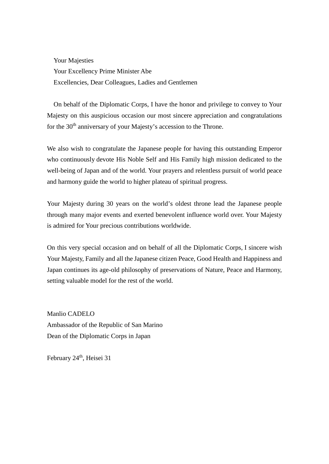Your Majesties Your Excellency Prime Minister Abe Excellencies, Dear Colleagues, Ladies and Gentlemen

On behalf of the Diplomatic Corps, I have the honor and privilege to convey to Your Majesty on this auspicious occasion our most sincere appreciation and congratulations for the 30<sup>th</sup> anniversary of your Majesty's accession to the Throne.

We also wish to congratulate the Japanese people for having this outstanding Emperor who continuously devote His Noble Self and His Family high mission dedicated to the well-being of Japan and of the world. Your prayers and relentless pursuit of world peace and harmony guide the world to higher plateau of spiritual progress.

Your Majesty during 30 years on the world's oldest throne lead the Japanese people through many major events and exerted benevolent influence world over. Your Majesty is admired for Your precious contributions worldwide.

On this very special occasion and on behalf of all the Diplomatic Corps, I sincere wish Your Majesty, Family and all the Japanese citizen Peace, Good Health and Happiness and Japan continues its age-old philosophy of preservations of Nature, Peace and Harmony, setting valuable model for the rest of the world.

Manlio CADELO Ambassador of the Republic of San Marino Dean of the Diplomatic Corps in Japan

February 24<sup>th</sup>, Heisei 31